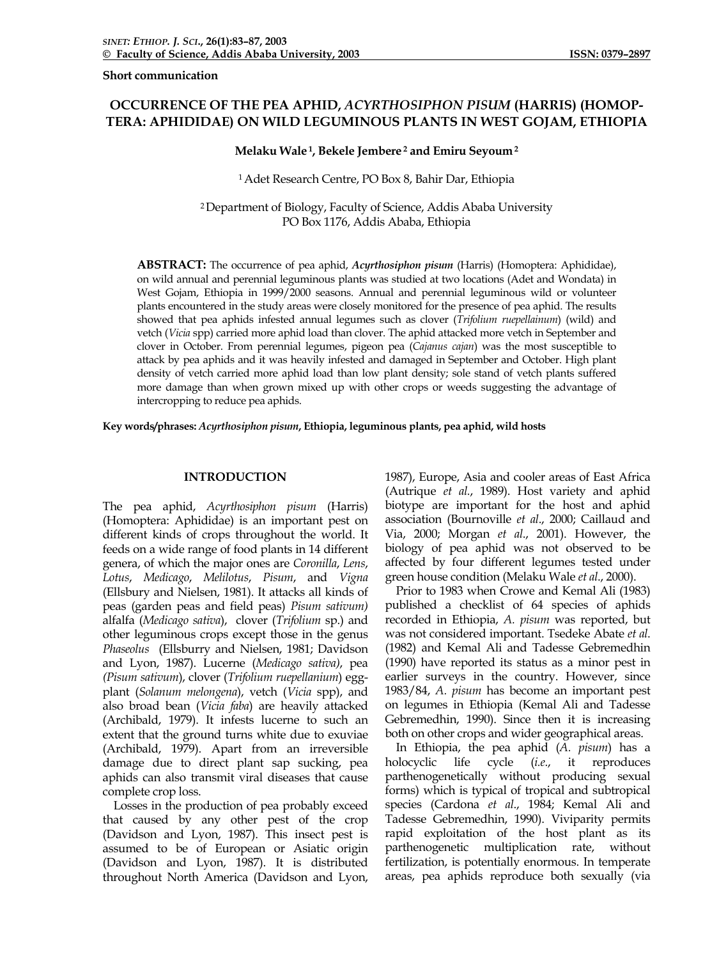**Short communication** 

# **OCCURRENCE OF THE PEA APHID,** *ACYRTHOSIPHON PISUM* **(HARRIS) (HOMOP-TERA: APHIDIDAE) ON WILD LEGUMINOUS PLANTS IN WEST GOJAM, ETHIOPIA**

# **Melaku Wale 1, Bekele Jembere 2 and Emiru Seyoum 2**

## 1 Adet Research Centre, PO Box 8, Bahir Dar, Ethiopia

2 Department of Biology, Faculty of Science, Addis Ababa University PO Box 1176, Addis Ababa, Ethiopia

**ABSTRACT:** The occurrence of pea aphid, *Acyrthosiphon pisum* (Harris) (Homoptera: Aphididae), on wild annual and perennial leguminous plants was studied at two locations (Adet and Wondata) in West Gojam, Ethiopia in 1999/2000 seasons. Annual and perennial leguminous wild or volunteer plants encountered in the study areas were closely monitored for the presence of pea aphid. The results showed that pea aphids infested annual legumes such as clover (*Trifolium ruepellainum*) (wild) and vetch (*Vicia* spp) carried more aphid load than clover. The aphid attacked more vetch in September and clover in October. From perennial legumes, pigeon pea (*Cajanus cajan*) was the most susceptible to attack by pea aphids and it was heavily infested and damaged in September and October. High plant density of vetch carried more aphid load than low plant density; sole stand of vetch plants suffered more damage than when grown mixed up with other crops or weeds suggesting the advantage of intercropping to reduce pea aphids.

**Key words/phrases:** *Acyrthosiphon pisum***, Ethiopia, leguminous plants, pea aphid, wild hosts** 

# **INTRODUCTION**

The pea aphid, *Acyrthosiphon pisum* (Harris) (Homoptera: Aphididae) is an important pest on different kinds of crops throughout the world. It feeds on a wide range of food plants in 14 different genera, of which the major ones are *Coronilla*, *Lens*, *Lotus*, *Medicago*, *Melilotus*, *Pisum*, and *Vigna* (Ellsbury and Nielsen, 1981). It attacks all kinds of peas (garden peas and field peas) *Pisum sativum)*  alfalfa (*Medicago sativa*), clover (*Trifolium* sp.) and other leguminous crops except those in the genus *Phaseolus* (Ellsburry and Nielsen, 1981; Davidson and Lyon, 1987). Lucerne (*Medicago sativa)*, pea *(Pisum sativum*), clover (*Trifolium ruepellanium*) eggplant (*Solanum melongena*), vetch (*Vicia* spp), and also broad bean (*Vicia faba*) are heavily attacked (Archibald, 1979). It infests lucerne to such an extent that the ground turns white due to exuviae (Archibald, 1979). Apart from an irreversible damage due to direct plant sap sucking, pea aphids can also transmit viral diseases that cause complete crop loss.

 Losses in the production of pea probably exceed that caused by any other pest of the crop (Davidson and Lyon, 1987). This insect pest is assumed to be of European or Asiatic origin (Davidson and Lyon, 1987). It is distributed throughout North America (Davidson and Lyon,

1987), Europe, Asia and cooler areas of East Africa (Autrique *et al.*, 1989). Host variety and aphid biotype are important for the host and aphid association (Bournoville *et al*., 2000; Caillaud and Via, 2000; Morgan *et al*., 2001). However, the biology of pea aphid was not observed to be affected by four different legumes tested under green house condition (Melaku Wale *et al*., 2000).

 Prior to 1983 when Crowe and Kemal Ali (1983) published a checklist of 64 species of aphids recorded in Ethiopia, *A. pisum* was reported, but was not considered important. Tsedeke Abate *et al*. (1982) and Kemal Ali and Tadesse Gebremedhin (1990) have reported its status as a minor pest in earlier surveys in the country. However, since 1983/84, *A. pisum* has become an important pest on legumes in Ethiopia (Kemal Ali and Tadesse Gebremedhin, 1990). Since then it is increasing both on other crops and wider geographical areas.

 In Ethiopia, the pea aphid (*A. pisum*) has a holocyclic life cycle (*i.e*., it reproduces parthenogenetically without producing sexual forms) which is typical of tropical and subtropical species (Cardona *et al*., 1984; Kemal Ali and Tadesse Gebremedhin, 1990). Viviparity permits rapid exploitation of the host plant as its parthenogenetic multiplication rate, without fertilization, is potentially enormous. In temperate areas, pea aphids reproduce both sexually (via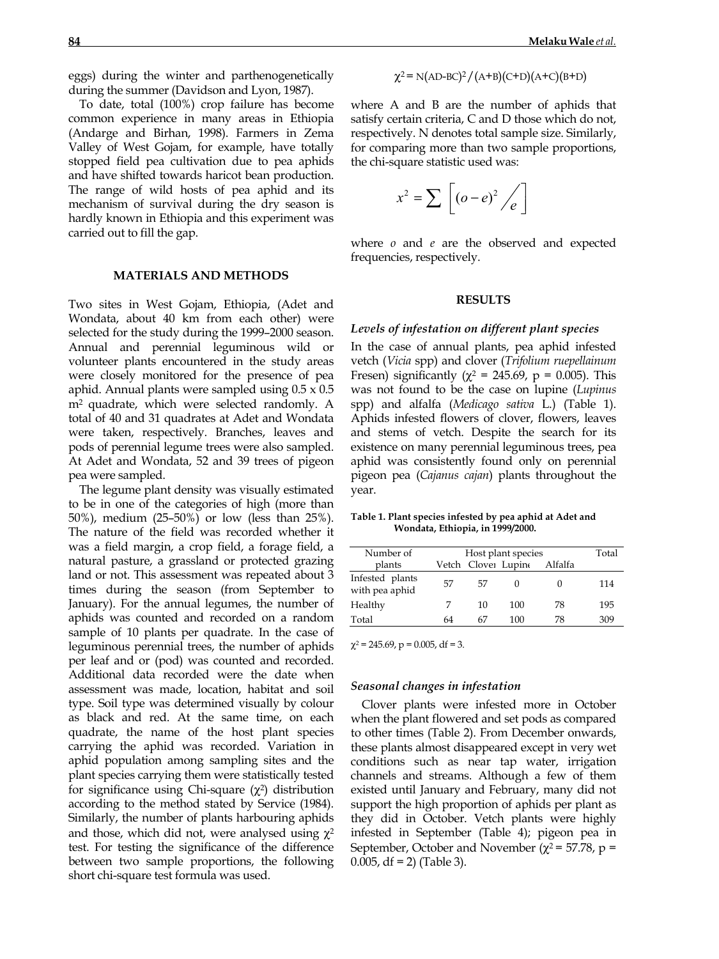eggs) during the winter and parthenogenetically during the summer (Davidson and Lyon, 1987).

To date, total (100%) crop failure has become common experience in many areas in Ethiopia (Andarge and Birhan, 1998). Farmers in Zema Valley of West Gojam, for example, have totally stopped field pea cultivation due to pea aphids and have shifted towards haricot bean production. The range of wild hosts of pea aphid and its mechanism of survival during the dry season is hardly known in Ethiopia and this experiment was carried out to fill the gap.

### **MATERIALS AND METHODS**

Two sites in West Gojam, Ethiopia, (Adet and Wondata, about 40 km from each other) were selected for the study during the 1999–2000 season. Annual and perennial leguminous wild or volunteer plants encountered in the study areas were closely monitored for the presence of pea aphid. Annual plants were sampled using 0.5 x 0.5 m2 quadrate, which were selected randomly. A total of 40 and 31 quadrates at Adet and Wondata were taken, respectively. Branches, leaves and pods of perennial legume trees were also sampled. At Adet and Wondata, 52 and 39 trees of pigeon pea were sampled.

The legume plant density was visually estimated to be in one of the categories of high (more than 50%), medium (25–50%) or low (less than 25%). The nature of the field was recorded whether it was a field margin, a crop field, a forage field, a natural pasture, a grassland or protected grazing land or not. This assessment was repeated about 3 times during the season (from September to January). For the annual legumes, the number of aphids was counted and recorded on a random sample of 10 plants per quadrate. In the case of leguminous perennial trees, the number of aphids per leaf and or (pod) was counted and recorded. Additional data recorded were the date when assessment was made, location, habitat and soil type. Soil type was determined visually by colour as black and red. At the same time, on each quadrate, the name of the host plant species carrying the aphid was recorded. Variation in aphid population among sampling sites and the plant species carrying them were statistically tested for significance using Chi-square (χ2) distribution according to the method stated by Service (1984). Similarly, the number of plants harbouring aphids and those, which did not, were analysed using  $\chi^2$ test. For testing the significance of the difference between two sample proportions, the following short chi-square test formula was used.

$$
\chi^2 = N(\text{AD-BC})^2 / (A+B)(\text{C+D})(A+C)(B+D)
$$

where A and B are the number of aphids that satisfy certain criteria, C and D those which do not, respectively. N denotes total sample size. Similarly, for comparing more than two sample proportions, the chi-square statistic used was:

$$
x^2 = \sum \left[ \left( o - e \right)^2 / e \right]
$$

where *o* and *e* are the observed and expected frequencies, respectively.

### **RESULTS**

#### *Levels of infestation on different plant species*

In the case of annual plants, pea aphid infested vetch (*Vicia* spp) and clover (*Trifolium ruepellainum*  Fresen) significantly ( $\chi^2$  = 245.69, p = 0.005). This was not found to be the case on lupine (*Lupinus*  spp) and alfalfa (*Medicago sativa* L.) (Table 1). Aphids infested flowers of clover, flowers, leaves and stems of vetch. Despite the search for its existence on many perennial leguminous trees, pea aphid was consistently found only on perennial pigeon pea (*Cajanus cajan*) plants throughout the year.

**Table 1. Plant species infested by pea aphid at Adet and Wondata, Ethiopia, in 1999/2000.**

| Number of                         | Host plant species | Total               |     |         |     |
|-----------------------------------|--------------------|---------------------|-----|---------|-----|
| plants                            |                    | Vetch Clover Lupine |     | Alfalfa |     |
| Infested plants<br>with pea aphid | 57                 | 57                  |     |         | 114 |
| Healthy                           |                    | 10                  | 100 | 78      | 195 |
| Total                             | 64                 | 67                  | 100 | 78      | 309 |

 $\chi^2$  = 245.69, p = 0.005, df = 3.

#### *Seasonal changes in infestation*

Clover plants were infested more in October when the plant flowered and set pods as compared to other times (Table 2). From December onwards, these plants almost disappeared except in very wet conditions such as near tap water, irrigation channels and streams. Although a few of them existed until January and February, many did not support the high proportion of aphids per plant as they did in October. Vetch plants were highly infested in September (Table 4); pigeon pea in September, October and November ( $\chi^2$  = 57.78, p = 0.005,  $df = 2$ ) (Table 3).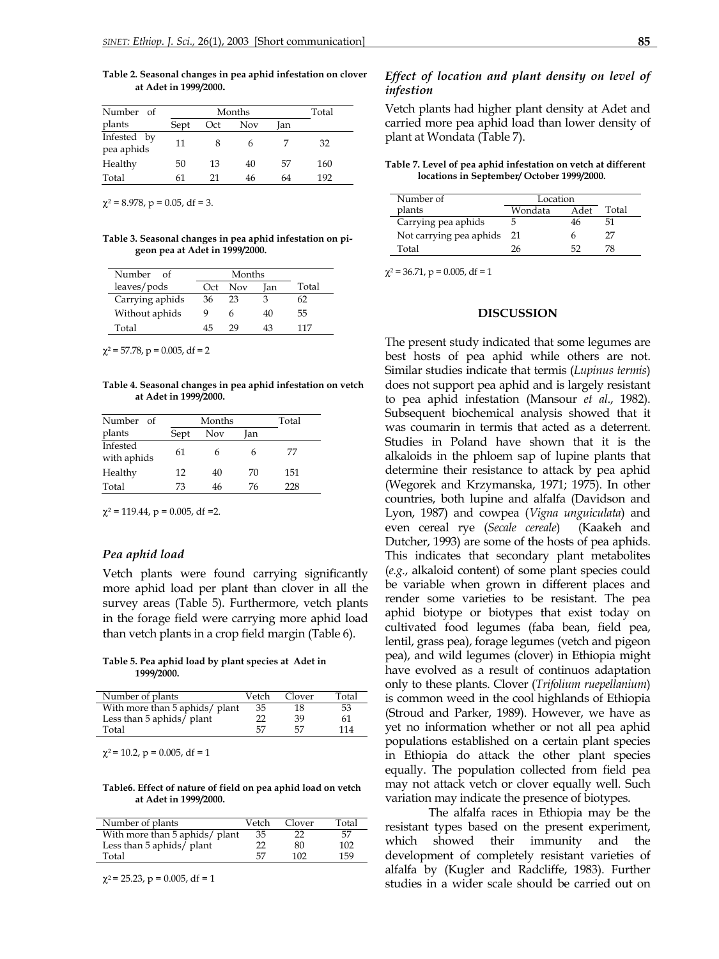**Table 2. Seasonal changes in pea aphid infestation on clover at Adet in 1999/2000.**

| Number of                 |      | Months |     |     |     |  |
|---------------------------|------|--------|-----|-----|-----|--|
| plants                    | Sept | Oct    | Nov | Jan |     |  |
| Infested by<br>pea aphids | 11   |        |     |     | 32  |  |
| Healthy                   | 50   | 13     | 40  | 57  | 160 |  |
| Total                     | 61   | 21     | 46  | 64  | 192 |  |

 $\chi^2$  = 8.978, p = 0.05, df = 3.

**Table 3. Seasonal changes in pea aphid infestation on pigeon pea at Adet in 1999/2000.**

| Number of       |     | Months     |     |       |
|-----------------|-----|------------|-----|-------|
| leaves/pods     | Oct | <b>Nov</b> | Ian | Total |
| Carrying aphids | 36  | 23         | З   | 62    |
| Without aphids  | Q   | 6          | 40  | 55    |
| Total           | 45  | 29         | 43  | 117   |

 $\chi^2$  = 57.78, p = 0.005, df = 2

**Table 4. Seasonal changes in pea aphid infestation on vetch at Adet in 1999/2000.**

| Number of               |      | Months |     |     |  |
|-------------------------|------|--------|-----|-----|--|
| plants                  | Sept | Nov    | Ian |     |  |
| Infested<br>with aphids | 61   |        | h   | 77  |  |
| Healthy                 | 12   | 40     | 70  | 151 |  |
| Total                   | 73   | 46     | 76  | 228 |  |

 $\chi^2$  = 119.44, p = 0.005, df = 2.

### *Pea aphid load*

Vetch plants were found carrying significantly more aphid load per plant than clover in all the survey areas (Table 5). Furthermore, vetch plants in the forage field were carrying more aphid load than vetch plants in a crop field margin (Table 6).

#### **Table 5. Pea aphid load by plant species at Adet in 1999/2000.**

| Number of plants               | Vetch | Clover | Total |
|--------------------------------|-------|--------|-------|
| With more than 5 aphids/ plant | 35    | 18     | 53    |
| Less than 5 aphids/ plant      | 22    | 39     | 61    |
| Total                          | 57    | 57     | 114   |

 $\chi^2$  = 10.2, p = 0.005, df = 1

#### **Table6. Effect of nature of field on pea aphid load on vetch at Adet in 1999/2000.**

| Number of plants                        | Vetch | Clover | Total |
|-----------------------------------------|-------|--------|-------|
| With more than 5 aphids/ plant          | 35    | 22     | .57   |
| Less than 5 aphids $\overline{I}$ plant | フフ    | 80     | 102   |
| Total                                   | 57    | 102    | 159   |

 $\chi^2$  = 25.23, p = 0.005, df = 1

# *Effect of location and plant density on level of infestion*

Vetch plants had higher plant density at Adet and carried more pea aphid load than lower density of plant at Wondata (Table 7).

**Table 7. Level of pea aphid infestation on vetch at different locations in September/ October 1999/2000.**

| Number of               | Location |      |       |
|-------------------------|----------|------|-------|
| plants                  | Wondata  | Adet | Total |
| Carrying pea aphids     |          |      |       |
| Not carrying pea aphids | -21      |      | 77    |
| Total                   | 1Һ       |      |       |

 $\chi^2$  = 36.71, p = 0.005, df = 1

## **DISCUSSION**

The present study indicated that some legumes are best hosts of pea aphid while others are not. Similar studies indicate that termis (*Lupinus termis*) does not support pea aphid and is largely resistant to pea aphid infestation (Mansour *et al*., 1982). Subsequent biochemical analysis showed that it was coumarin in termis that acted as a deterrent. Studies in Poland have shown that it is the alkaloids in the phloem sap of lupine plants that determine their resistance to attack by pea aphid (Wegorek and Krzymanska, 1971; 1975). In other countries, both lupine and alfalfa (Davidson and Lyon, 1987) and cowpea (*Vigna unguiculata*) and even cereal rye (*Secale cereale*) (Kaakeh and Dutcher, 1993) are some of the hosts of pea aphids. This indicates that secondary plant metabolites (*e.g*., alkaloid content) of some plant species could be variable when grown in different places and render some varieties to be resistant. The pea aphid biotype or biotypes that exist today on cultivated food legumes (faba bean, field pea, lentil, grass pea), forage legumes (vetch and pigeon pea), and wild legumes (clover) in Ethiopia might have evolved as a result of continuos adaptation only to these plants. Clover (*Trifolium ruepellanium*) is common weed in the cool highlands of Ethiopia (Stroud and Parker, 1989). However, we have as yet no information whether or not all pea aphid populations established on a certain plant species in Ethiopia do attack the other plant species equally. The population collected from field pea may not attack vetch or clover equally well. Such variation may indicate the presence of biotypes.

The alfalfa races in Ethiopia may be the resistant types based on the present experiment, which showed their immunity and the development of completely resistant varieties of alfalfa by (Kugler and Radcliffe, 1983). Further studies in a wider scale should be carried out on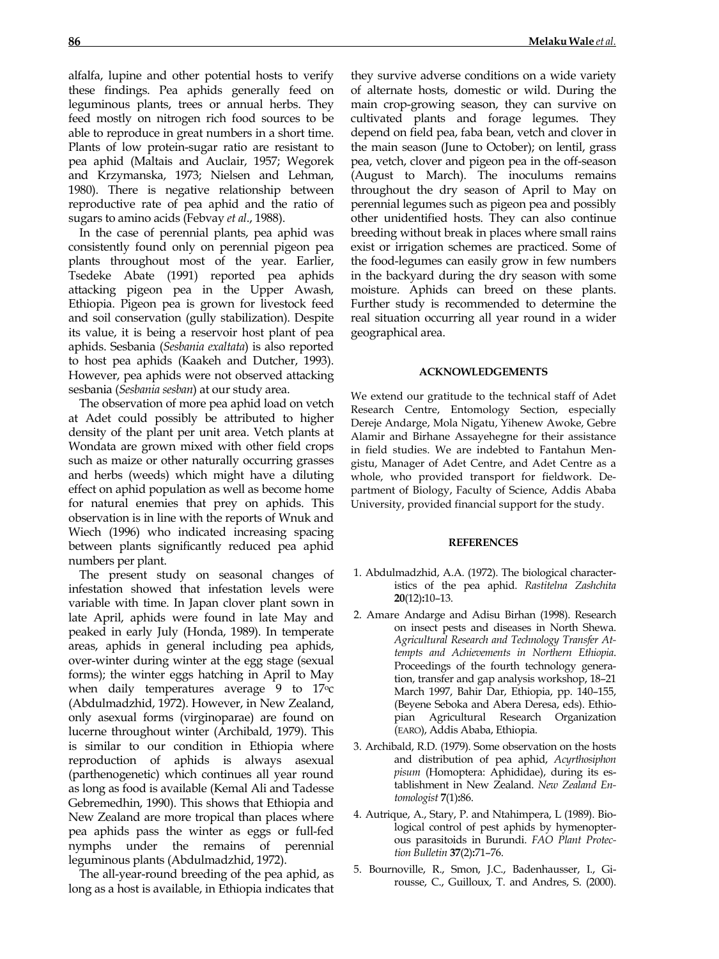alfalfa, lupine and other potential hosts to verify these findings. Pea aphids generally feed on leguminous plants, trees or annual herbs. They feed mostly on nitrogen rich food sources to be able to reproduce in great numbers in a short time. Plants of low protein-sugar ratio are resistant to pea aphid (Maltais and Auclair, 1957; Wegorek and Krzymanska, 1973; Nielsen and Lehman, 1980). There is negative relationship between reproductive rate of pea aphid and the ratio of sugars to amino acids (Febvay *et al*., 1988).

 In the case of perennial plants, pea aphid was consistently found only on perennial pigeon pea plants throughout most of the year. Earlier, Tsedeke Abate (1991) reported pea aphids attacking pigeon pea in the Upper Awash, Ethiopia. Pigeon pea is grown for livestock feed and soil conservation (gully stabilization). Despite its value, it is being a reservoir host plant of pea aphids. Sesbania (*Sesbania exaltata*) is also reported to host pea aphids (Kaakeh and Dutcher, 1993). However, pea aphids were not observed attacking sesbania (*Sesbania sesban*) at our study area.

 The observation of more pea aphid load on vetch at Adet could possibly be attributed to higher density of the plant per unit area. Vetch plants at Wondata are grown mixed with other field crops such as maize or other naturally occurring grasses and herbs (weeds) which might have a diluting effect on aphid population as well as become home for natural enemies that prey on aphids. This observation is in line with the reports of Wnuk and Wiech (1996) who indicated increasing spacing between plants significantly reduced pea aphid numbers per plant.

 The present study on seasonal changes of infestation showed that infestation levels were variable with time. In Japan clover plant sown in late April, aphids were found in late May and peaked in early July (Honda, 1989). In temperate areas, aphids in general including pea aphids, over-winter during winter at the egg stage (sexual forms); the winter eggs hatching in April to May when daily temperatures average 9 to 17<sup>o</sup>c (Abdulmadzhid, 1972). However, in New Zealand, only asexual forms (virginoparae) are found on lucerne throughout winter (Archibald, 1979). This is similar to our condition in Ethiopia where reproduction of aphids is always asexual (parthenogenetic) which continues all year round as long as food is available (Kemal Ali and Tadesse Gebremedhin, 1990). This shows that Ethiopia and New Zealand are more tropical than places where pea aphids pass the winter as eggs or full-fed nymphs under the remains of perennial leguminous plants (Abdulmadzhid, 1972).

 The all-year-round breeding of the pea aphid, as long as a host is available, in Ethiopia indicates that

they survive adverse conditions on a wide variety of alternate hosts, domestic or wild. During the main crop-growing season, they can survive on cultivated plants and forage legumes. They depend on field pea, faba bean, vetch and clover in the main season (June to October); on lentil, grass pea, vetch, clover and pigeon pea in the off-season (August to March). The inoculums remains throughout the dry season of April to May on perennial legumes such as pigeon pea and possibly other unidentified hosts. They can also continue breeding without break in places where small rains exist or irrigation schemes are practiced. Some of the food-legumes can easily grow in few numbers in the backyard during the dry season with some moisture. Aphids can breed on these plants. Further study is recommended to determine the real situation occurring all year round in a wider geographical area.

#### **ACKNOWLEDGEMENTS**

We extend our gratitude to the technical staff of Adet Research Centre, Entomology Section, especially Dereje Andarge, Mola Nigatu, Yihenew Awoke, Gebre Alamir and Birhane Assayehegne for their assistance in field studies. We are indebted to Fantahun Mengistu, Manager of Adet Centre, and Adet Centre as a whole, who provided transport for fieldwork. Department of Biology, Faculty of Science, Addis Ababa University, provided financial support for the study.

#### **REFERENCES**

- 1. Abdulmadzhid, A.A. (1972). The biological characteristics of the pea aphid. *Rastitelna Zashchita*  **20**(12)**:**10–13.
- 2. Amare Andarge and Adisu Birhan (1998). Research on insect pests and diseases in North Shewa. *Agricultural Research and Technology Transfer Attempts and Achievements in Northern Ethiopia*. Proceedings of the fourth technology generation, transfer and gap analysis workshop, 18–21 March 1997, Bahir Dar, Ethiopia, pp. 140–155, (Beyene Seboka and Abera Deresa, eds). Ethiopian Agricultural Research Organization (EARO), Addis Ababa, Ethiopia.
- 3. Archibald, R.D. (1979). Some observation on the hosts and distribution of pea aphid, *Acyrthosiphon pisum* (Homoptera: Aphididae), during its establishment in New Zealand. *New Zealand Entomologist* **7**(1)**:**86.
- 4. Autrique, A., Stary, P. and Ntahimpera, L (1989). Biological control of pest aphids by hymenopterous parasitoids in Burundi. *FAO Plant Protection Bulletin* **37**(2)**:**71–76.
- 5. Bournoville, R., Smon, J.C., Badenhausser, I., Girousse, C., Guilloux, T. and Andres, S. (2000).